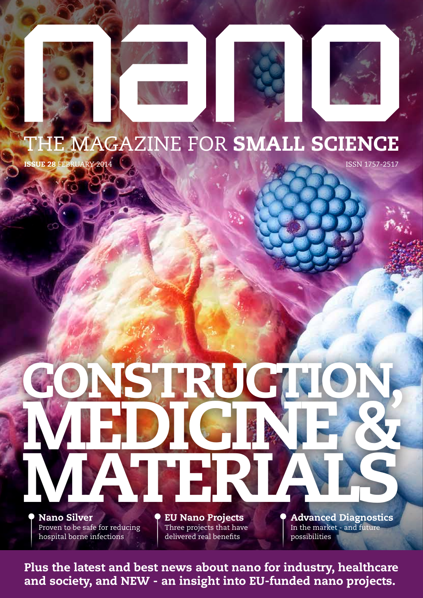

## HE MAGAZINE FOR SMALL SCIENCE

**ISSUE 28 FEBRUARY 2014 ISSN 1757-2517** 

## ONSTRUCT MEDICINE & MATERIALS

Nano Silver Proven to be safe for reducing hospital borne infections

EU Nano Projects Three projects that have delivered real benefits

Advanced Diagnostics In the market - and future possibilities

Plus the latest and best news about nano for industry, healthcare and society, and NEW - an insight into EU-funded nano projects.